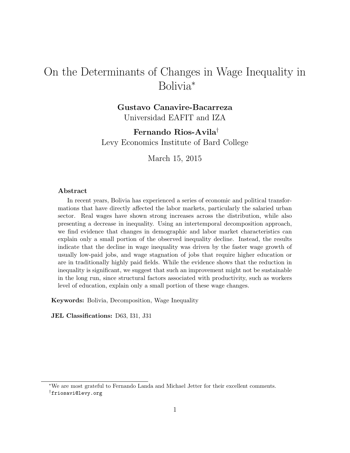# On the Determinants of Changes in Wage Inequality in Bolivia<sup>∗</sup>

# Gustavo Canavire-Bacarreza Universidad EAFIT and IZA

Fernando Rios-Avila† Levy Economics Institute of Bard College

March 15, 2015

#### Abstract

In recent years, Bolivia has experienced a series of economic and political transformations that have directly affected the labor markets, particularly the salaried urban sector. Real wages have shown strong increases across the distribution, while also presenting a decrease in inequality. Using an intertemporal decomposition approach, we find evidence that changes in demographic and labor market characteristics can explain only a small portion of the observed inequality decline. Instead, the results indicate that the decline in wage inequality was driven by the faster wage growth of usually low-paid jobs, and wage stagnation of jobs that require higher education or are in traditionally highly paid fields. While the evidence shows that the reduction in inequality is significant, we suggest that such an improvement might not be sustainable in the long run, since structural factors associated with productivity, such as workers level of education, explain only a small portion of these wage changes.

Keywords: Bolivia, Decomposition, Wage Inequality

JEL Classifications: D63, I31, J31

<sup>∗</sup>We are most grateful to Fernando Landa and Michael Jetter for their excellent comments. †friosavi@levy.org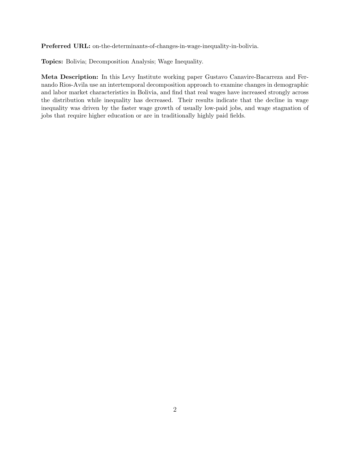Preferred URL: on-the-determinants-of-changes-in-wage-inequality-in-bolivia.

Topics: Bolivia; Decomposition Analysis; Wage Inequality.

Meta Description: In this Levy Institute working paper Gustavo Canavire-Bacarreza and Fernando Rios-Avila use an intertemporal decomposition approach to examine changes in demographic and labor market characteristics in Bolivia, and find that real wages have increased strongly across the distribution while inequality has decreased. Their results indicate that the decline in wage inequality was driven by the faster wage growth of usually low-paid jobs, and wage stagnation of jobs that require higher education or are in traditionally highly paid fields.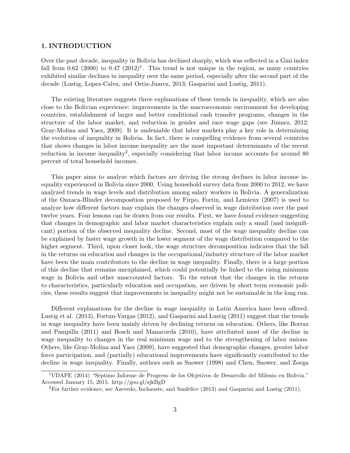#### 1. INTRODUCTION

Over the past decade, inequality in Bolivia has declined sharply, which was reflected in a Gini index fall from 0.62 (2000) to 0.47  $(2012)^1$ . This trend is not unique in the region, as many countries exhibited similar declines in inequality over the same period, especially after the second part of the decade (Lustig, Lopez-Calva, and Ortiz-Juarez, 2013; Gasparini and Lustig, 2011).

The existing literature suggests three explanations of these trends in inequality, which are also close to the Bolivian experience: improvements in the macroeconomic environment for developing countries, establishment of larger and better conditional cash transfer programs, changes in the structure of the labor market, and reduction in gender and race wage gaps (see Jimnez, 2012; Gray-Molina and Yaez, 2009). It is undeniable that labor markets play a key role in determining the evolution of inequality in Bolivia. In fact, there is compelling evidence from several countries that shows changes in labor income inequality are the most important determinants of the recent reduction in income inequality<sup>2</sup>, especially considering that labor income accounts for around 80 percent of total household incomes.

This paper aims to analyze which factors are driving the strong declines in labor income inequality experienced in Bolivia since 2000. Using household survey data from 2000 to 2012, we have analyzed trends in wage levels and distribution among salary workers in Bolivia. A generalization of the Oaxaca-Blinder decomposition proposed by Firpo, Fortin, and Lemieux (2007) is used to analyze how different factors may explain the changes observed in wage distribution over the past twelve years. Four lessons can be drawn from our results. First, we have found evidence suggesting that changes in demographic and labor market characteristics explain only a small (and insignificant) portion of the observed inequality decline. Second, most of the wage inequality decline can be explained by faster wage growth in the lower segment of the wage distribution compared to the higher segment. Third, upon closer look, the wage structure decomposition indicates that the fall in the returns on education and changes in the occupational/industry structure of the labor market have been the main contributors to the decline in wage inequality. Finally, there is a large portion of this decline that remains unexplained, which could potentially be linked to the rising minimum wage in Bolivia and other unaccounted factors. To the extent that the changes in the returns to characteristics, particularly education and occupation, are driven by short term economic policies, these results suggest that improvements in inequality might not be sustainable in the long run.

Different explanations for the decline in wage inequality in Latin America have been offered. Lustig et al. (2013), Fortun-Vargas (2012), and Gasparini and Lustig (2011) suggest that the trends in wage inequality have been mainly driven by declining returns on education. Others, like Borraz and Pampilln (2011) and Bosch and Manacorda (2010), have attributed most of the decline in wage inequality to changes in the real minimum wage and to the strengthening of labor unions. Others, like Gray-Molina and Yaez (2009), have suggested that demographic changes, greater labor force participation, and (partially) educational improvements have significantly contributed to the decline in wage inequality. Finally, authors such as Snower (1998) and Chen, Snower, and Zoega

 $1$ UDAPE (2014) "Séptimo Informe de Progreso de los Objetivos de Desarrollo del Milenio en Bolivia." Accessed January 15, 2015. http://goo.gl/sjkBgD

<sup>2</sup>For further evidence, see Azevedo, Inchauste, and Sanfelice (2013) and Gasparini and Lustig (2011).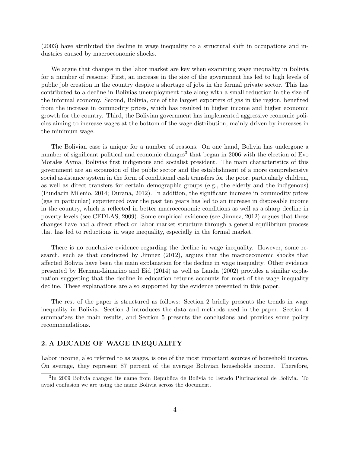(2003) have attributed the decline in wage inequality to a structural shift in occupations and industries caused by macroeconomic shocks.

We argue that changes in the labor market are key when examining wage inequality in Bolivia for a number of reasons: First, an increase in the size of the government has led to high levels of public job creation in the country despite a shortage of jobs in the formal private sector. This has contributed to a decline in Bolivias unemployment rate along with a small reduction in the size of the informal economy. Second, Bolivia, one of the largest exporters of gas in the region, benefited from the increase in commodity prices, which has resulted in higher income and higher economic growth for the country. Third, the Bolivian government has implemented aggressive economic policies aiming to increase wages at the bottom of the wage distribution, mainly driven by increases in the minimum wage.

The Bolivian case is unique for a number of reasons. On one hand, Bolivia has undergone a number of significant political and economic changes<sup>3</sup> that began in 2006 with the election of Evo Morales Ayma, Bolivias first indigenous and socialist president. The main characteristics of this government are an expansion of the public sector and the establishment of a more comprehensive social assistance system in the form of conditional cash transfers for the poor, particularly children, as well as direct transfers for certain demographic groups (e.g., the elderly and the indigenous) (Fundacin Milenio, 2014; Durana, 2012). In addition, the significant increase in commodity prices (gas in particular) experienced over the past ten years has led to an increase in disposable income in the country, which is reflected in better macroeconomic conditions as well as a sharp decline in poverty levels (see CEDLAS, 2009). Some empirical evidence (see Jimnez, 2012) argues that these changes have had a direct effect on labor market structure through a general equilibrium process that has led to reductions in wage inequality, especially in the formal market.

There is no conclusive evidence regarding the decline in wage inequality. However, some research, such as that conducted by Jimnez (2012), argues that the macroeconomic shocks that affected Bolivia have been the main explanation for the decline in wage inequality. Other evidence presented by Hernani-Limarino and Eid (2014) as well as Landa (2002) provides a similar explanation suggesting that the decline in education returns accounts for most of the wage inequality decline. These explanations are also supported by the evidence presented in this paper.

The rest of the paper is structured as follows: Section 2 briefly presents the trends in wage inequality in Bolivia. Section 3 introduces the data and methods used in the paper. Section 4 summarizes the main results, and Section 5 presents the conclusions and provides some policy recommendations.

## 2. A DECADE OF WAGE INEQUALITY

Labor income, also referred to as wages, is one of the most important sources of household income. On average, they represent 87 percent of the average Bolivian households income. Therefore,

<sup>&</sup>lt;sup>3</sup>In 2009 Bolivia changed its name from Republica de Bolivia to Estado Plurinacional de Bolivia. To avoid confusion we are using the name Bolivia across the document.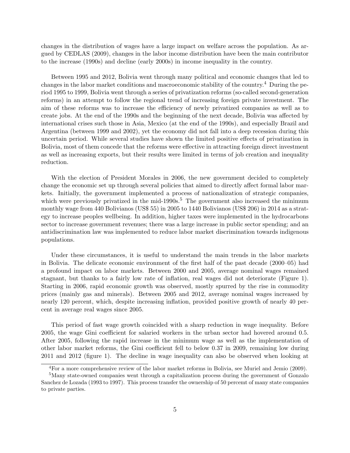changes in the distribution of wages have a large impact on welfare across the population. As argued by CEDLAS (2009), changes in the labor income distribution have been the main contributor to the increase (1990s) and decline (early 2000s) in income inequality in the country.

Between 1995 and 2012, Bolivia went through many political and economic changes that led to changes in the labor market conditions and macroeconomic stability of the country.<sup>4</sup> During the period 1995 to 1999, Bolivia went through a series of privatization reforms (so-called second-generation reforms) in an attempt to follow the regional trend of increasing foreign private investment. The aim of these reforms was to increase the efficiency of newly privatized companies as well as to create jobs. At the end of the 1990s and the beginning of the next decade, Bolivia was affected by international crises such those in Asia, Mexico (at the end of the 1990s), and especially Brazil and Argentina (between 1999 and 2002), yet the economy did not fall into a deep recession during this uncertain period. While several studies have shown the limited positive effects of privatization in Bolivia, most of them concede that the reforms were effective in attracting foreign direct investment as well as increasing exports, but their results were limited in terms of job creation and inequality reduction.

With the election of President Morales in 2006, the new government decided to completely change the economic set up through several policies that aimed to directly affect formal labor markets. Initially, the government implemented a process of nationalization of strategic companies, which were previously privatized in the mid-1990s.<sup>5</sup> The government also increased the minimum monthly wage from 440 Bolivianos (US\$ 55) in 2005 to 1440 Bolivianos (US\$ 206) in 2014 as a strategy to increase peoples wellbeing. In addition, higher taxes were implemented in the hydrocarbons sector to increase government revenues; there was a large increase in public sector spending; and an antidiscrimination law was implemented to reduce labor market discrimination towards indigenous populations.

Under these circumstances, it is useful to understand the main trends in the labor markets in Bolivia. The delicate economic environment of the first half of the past decade (2000–05) had a profound impact on labor markets. Between 2000 and 2005, average nominal wages remained stagnant, but thanks to a fairly low rate of inflation, real wages did not deteriorate (Figure 1). Starting in 2006, rapid economic growth was observed, mostly spurred by the rise in commodity prices (mainly gas and minerals). Between 2005 and 2012, average nominal wages increased by nearly 120 percent, which, despite increasing inflation, provided positive growth of nearly 40 percent in average real wages since 2005.

This period of fast wage growth coincided with a sharp reduction in wage inequality. Before 2005, the wage Gini coefficient for salaried workers in the urban sector had hovered around 0.5. After 2005, following the rapid increase in the minimum wage as well as the implementation of other labor market reforms, the Gini coefficient fell to below 0.37 in 2009, remaining low during 2011 and 2012 (figure 1). The decline in wage inequality can also be observed when looking at

<sup>4</sup>For a more comprehensive review of the labor market reforms in Bolivia, see Muriel and Jemio (2009).

<sup>5</sup>Many state-owned companies went through a capitalization process during the government of Gonzalo Sanchez de Lozada (1993 to 1997). This process transfer the ownership of 50 percemt of many state companies to private parties.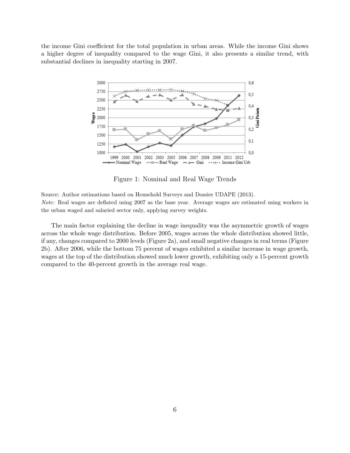the income Gini coefficient for the total population in urban areas. While the income Gini shows a higher degree of inequality compared to the wage Gini, it also presents a similar trend, with substantial declines in inequality starting in 2007.



Figure 1: Nominal and Real Wage Trends

Source: Author estimations based on Household Surveys and Dossier UDAPE (2013). Note: Real wages are deflated using 2007 as the base year. Average wages are estimated using workers in the urban waged and salaried sector only, applying survey weights.

The main factor explaining the decline in wage inequality was the asymmetric growth of wages across the whole wage distribution. Before 2005, wages across the whole distribution showed little, if any, changes compared to 2000 levels (Figure 2a), and small negative changes in real terms (Figure 2b). After 2006, while the bottom 75 percent of wages exhibited a similar increase in wage growth, wages at the top of the distribution showed much lower growth, exhibiting only a 15-percent growth compared to the 40-percent growth in the average real wage.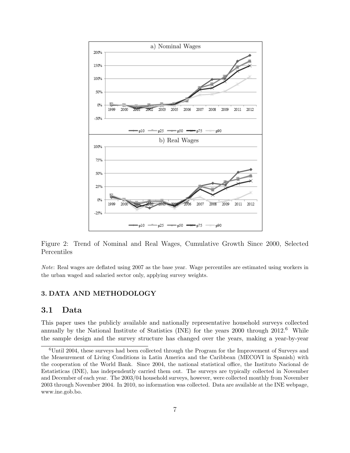



Note: Real wages are deflated using 2007 as the base year. Wage percentiles are estimated using workers in the urban waged and salaried sector only, applying survey weights.

### 3. DATA AND METHODOLOGY

## 3.1 Data

This paper uses the publicly available and nationally representative household surveys collected annually by the National Institute of Statistics (INE) for the years  $2000$  through  $2012<sup>6</sup>$  While the sample design and the survey structure has changed over the years, making a year-by-year

 $6$ Until 2004, these surveys had been collected through the Program for the Improvement of Surveys and the Measurement of Living Conditions in Latin America and the Caribbean (MECOVI in Spanish) with the cooperation of the World Bank. Since 2004, the national statistical office, the Instituto Nacional de Estatisticas (INE), has independently carried them out. The surveys are typically collected in November and December of each year. The 2003/04 household surveys, however, were collected monthly from November 2003 through November 2004. In 2010, no information was collected. Data are available at the INE webpage, www.ine.gob.bo.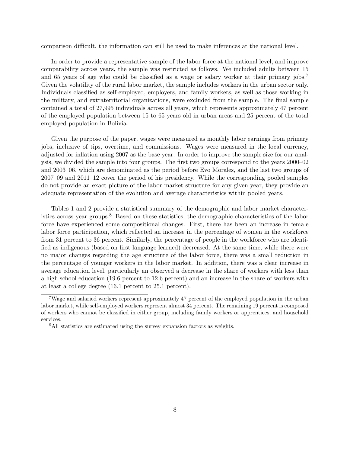comparison difficult, the information can still be used to make inferences at the national level.

In order to provide a representative sample of the labor force at the national level, and improve comparability across years, the sample was restricted as follows. We included adults between 15 and 65 years of age who could be classified as a wage or salary worker at their primary jobs.<sup>7</sup> Given the volatility of the rural labor market, the sample includes workers in the urban sector only. Individuals classified as self-employed, employers, and family workers, as well as those working in the military, and extraterritorial organizations, were excluded from the sample. The final sample contained a total of 27,995 individuals across all years, which represents approximately 47 percent of the employed population between 15 to 65 years old in urban areas and 25 percent of the total employed population in Bolivia.

Given the purpose of the paper, wages were measured as monthly labor earnings from primary jobs, inclusive of tips, overtime, and commissions. Wages were measured in the local currency, adjusted for inflation using 2007 as the base year. In order to improve the sample size for our analysis, we divided the sample into four groups. The first two groups correspond to the years 2000–02 and 2003–06, which are denominated as the period before Evo Morales, and the last two groups of 2007–09 and 2011–12 cover the period of his presidency. While the corresponding pooled samples do not provide an exact picture of the labor market structure for any given year, they provide an adequate representation of the evolution and average characteristics within pooled years.

Tables 1 and 2 provide a statistical summary of the demographic and labor market characteristics across year groups.<sup>8</sup> Based on these statistics, the demographic characteristics of the labor force have experienced some compositional changes. First, there has been an increase in female labor force participation, which reflected an increase in the percentage of women in the workforce from 31 percent to 36 percent. Similarly, the percentage of people in the workforce who are identified as indigenous (based on first language learned) decreased. At the same time, while there were no major changes regarding the age structure of the labor force, there was a small reduction in the percentage of younger workers in the labor market. In addition, there was a clear increase in average education level, particularly an observed a decrease in the share of workers with less than a high school education (19.6 percent to 12.6 percent) and an increase in the share of workers with at least a college degree (16.1 percent to 25.1 percent).

<sup>7</sup>Wage and salaried workers represent approximately 47 percent of the employed population in the urban labor market, while self-employed workers represent almost 34 percent. The remaining 19 percent is composed of workers who cannot be classified in either group, including family workers or apprentices, and household services.

<sup>8</sup>All statistics are estimated using the survey expansion factors as weights.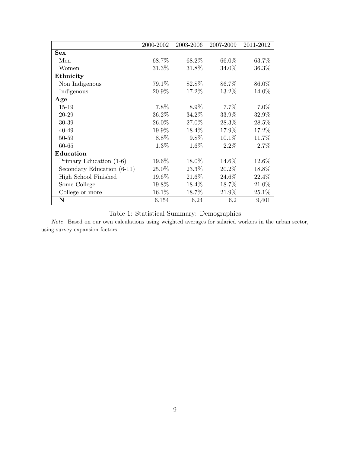|                            | 2000-2002 | 2003-2006 | 2007-2009 | 2011-2012 |
|----------------------------|-----------|-----------|-----------|-----------|
| <b>Sex</b>                 |           |           |           |           |
| Men                        | 68.7%     | 68.2%     | 66.0%     | 63.7%     |
| Women                      | 31.3%     | 31.8%     | 34.0%     | 36.3%     |
| Ethnicity                  |           |           |           |           |
| Non Indigenous             | 79.1%     | 82.8%     | 86.7%     | 86.0%     |
| Indigenous                 | 20.9%     | 17.2%     | 13.2%     | 14.0%     |
| Age                        |           |           |           |           |
| 15-19                      | 7.8%      | 8.9%      | 7.7%      | 7.0%      |
| 20-29                      | 36.2%     | 34.2%     | 33.9%     | 32.9%     |
| 30-39                      | 26.0%     | 27.0%     | 28.3%     | 28.5%     |
| 40-49                      | 19.9%     | 18.4\%    | 17.9%     | 17.2%     |
| 50-59                      | 8.8%      | $9.8\%$   | $10.1\%$  | 11.7%     |
| 60-65                      | $1.3\%$   | 1.6%      | 2.2%      | 2.7%      |
| Education                  |           |           |           |           |
| Primary Education (1-6)    | 19.6%     | 18.0%     | 14.6%     | 12.6%     |
| Secondary Education (6-11) | 25.0%     | 23.3%     | 20.2%     | 18.8%     |
| High School Finished       | 19.6%     | 21.6%     | 24.6%     | 22.4%     |
| Some College               | 19.8%     | 18.4%     | 18.7%     | 21.0%     |
| College or more            | 16.1\%    | 18.7%     | 21.9%     | 25.1\%    |
| $\mathbf N$                | 6,154     | 6,24      | 6,2       | 9,401     |

Table 1: Statistical Summary: Demographics

Note: Based on our own calculations using weighted averages for salaried workers in the urban sector, using survey expansion factors.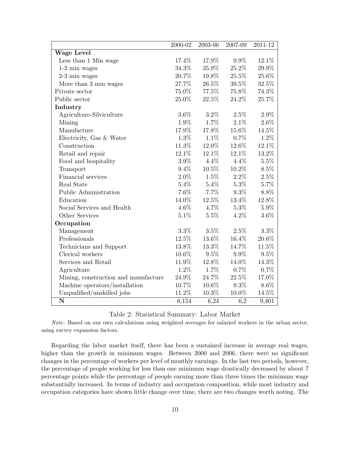|                                      | 2000-02 | 2003-06  | 2007-09  | 2011-12  |
|--------------------------------------|---------|----------|----------|----------|
| <b>Wage Level</b>                    |         |          |          |          |
| Less than 1 Min wage                 | 17.4%   | 17.9%    | $9.9\%$  | 12.1%    |
| $1-2$ min wages                      | 34.3%   | 35.9%    | $25.2\%$ | 29.9%    |
| $2-3$ min wages                      | 20.7%   | 19.8%    | 25.5%    | 25.6%    |
| More than 3 min wages                | 27.7%   | $26.5\%$ | $39.5\%$ | 32.5%    |
| Private sector                       | 75.0%   | 77.5%    | 75.8%    | 74.3%    |
| Public sector                        | 25.0%   | 22.5%    | 24.2%    | 25.7%    |
| Industry                             |         |          |          |          |
| Agriculture-Silviculture             | $3.6\%$ | $3.2\%$  | 2.5%     | $2.9\%$  |
| Mining                               | 1.9%    | 1.7%     | $2.1\%$  | $2.6\%$  |
| Manufacture                          | 17.9%   | 17.8%    | 15.6%    | 14.5%    |
| Electricity, Gas & Water             | 1.3%    | $1.1\%$  | $0.7\%$  | 1.2%     |
| Construction                         | 11.3%   | 12.0%    | 12.6%    | 12.1%    |
| Retail and repair                    | 12.1%   | 12.1%    | 12.1%    | 13.2%    |
| Food and hospitality                 | 3.9%    | $4.4\%$  | $4.4\%$  | $5.5\%$  |
| Transport                            | $9.4\%$ | 10.5%    | 10.2%    | $8.5\%$  |
| Financial services                   | $2.0\%$ | $1.5\%$  | $2.2\%$  | 2.5%     |
| Real State                           | $5.4\%$ | $5.4\%$  | $5.3\%$  | 5.7%     |
| Public Administration                | 7.6%    | 7.7%     | $9.3\%$  | 8.8%     |
| Education                            | 14.0%   | 12.5%    | 13.4%    | 12.8%    |
| Social Services and Health           | $4.6\%$ | 4.7%     | $5.3\%$  | $5.9\%$  |
| Other Services                       | 5.1%    | 5.5%     | 4.2%     | $3.6\%$  |
| Occupation                           |         |          |          |          |
| Management                           | $3.3\%$ | $3.5\%$  | 2.5%     | $3.3\%$  |
| Professionals                        | 12.5%   | 13.6%    | 16.4%    | $20.6\%$ |
| Technicians and Support              | 13.8%   | 13.3%    | 14.7%    | 11.5%    |
| Clerical workers                     | 10.6%   | $9.5\%$  | 9.9%     | $9.5\%$  |
| Services and Retail                  | 11.9%   | 12.8%    | 14.0%    | 14.3%    |
| Agriculture                          | 1.2%    | 1.7%     | 0.7%     | 0.7%     |
| Mining, construction and manufacture | 24.9%   | 24.7%    | 22.5%    | 17.0%    |
| Machine operators/installation       | 10.7%   | 10.6%    | 9.3%     | $8.6\%$  |
| Unqualified/unskilled jobs           | 11.2%   | 10.3%    | 10.0%    | 14.5%    |
| $\mathbf N$                          | 6,154   | 6,24     | 6,2      | 9,401    |

Table 2: Statistical Summary: Labor Market

Note: Based on our own calculations using weighted averages for salaried workers in the urban sector, using survey expansion factors.

Regarding the labor market itself, there has been a sustained increase in average real wages, higher than the growth in minimum wages. Between 2000 and 2006, there were no significant changes in the percentage of workers per level of monthly earnings. In the last two periods, however, the percentage of people working for less than one minimum wage drastically decreased by about 7 percentage points while the percentage of people earning more than three times the minimum wage substantially increased. In terms of industry and occupation composition, while most industry and occupation categories have shown little change over time, there are two changes worth noting. The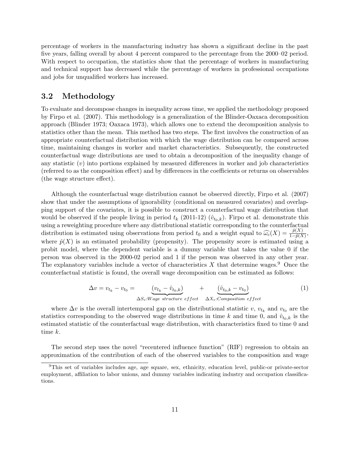percentage of workers in the manufacturing industry has shown a significant decline in the past five years, falling overall by about 4 percent compared to the percentage from the 2000–02 period. With respect to occupation, the statistics show that the percentage of workers in manufacturing and technical support has decreased while the percentage of workers in professional occupations and jobs for unqualified workers has increased.

# 3.2 Methodology

To evaluate and decompose changes in inequality across time, we applied the methodology proposed by Firpo et al. (2007). This methodology is a generalization of the Blinder-Oaxaca decomposition approach (Blinder 1973; Oaxaca 1973), which allows one to extend the decomposition analysis to statistics other than the mean. This method has two steps. The first involves the construction of an appropriate counterfactual distribution with which the wage distribution can be compared across time, maintaining changes in worker and market characteristics. Subsequently, the constructed counterfactual wage distributions are used to obtain a decomposition of the inequality change of any statistic  $(v)$  into portions explained by measured differences in worker and job characteristics (referred to as the composition effect) and by differences in the coefficients or returns on observables (the wage structure effect).

Although the counterfactual wage distribution cannot be observed directly, Firpo et al. (2007) show that under the assumptions of ignorability (conditional on measured covariates) and overlapping support of the covariates, it is possible to construct a counterfactual wage distribution that would be observed if the people living in period  $t_k$  (2011-12)  $(\hat{v}_{t_0,k})$ . Firpo et al. demonstrate this using a reweighting procedure where any distributional statistic corresponding to the counterfactual distribution is estimated using observations from period  $t_0$  and a weight equal to  $\widehat{\omega}_c(X) = \frac{\widehat{p}(X)}{1-\widehat{p}(X)}$ , where  $\hat{p}(X)$  is an estimated probability (propensity). The propensity score is estimated using a probit model, where the dependent variable is a dummy variable that takes the value 0 if the person was observed in the 2000-02 period and 1 if the person was observed in any other year. The explanatory variables include a vector of characteristics  $X$  that determine wages.<sup>9</sup> Once the counterfactual statistic is found, the overall wage decomposition can be estimated as follows:

$$
\Delta v = v_{t_k} - v_{t_0} = \underbrace{(v_{t_k} - \hat{v}_{t_0, k})}_{\Delta S_v: Wage structure effect} + \underbrace{(\hat{v}_{t_0, k} - v_{t_0})}_{\Delta X_v: Composition effect}
$$
 (1)

where  $\Delta v$  is the overall intertemporal gap on the distributional statistic v,  $v_{t_k}$  and  $v_{t_0}$  are the statistics corresponding to the observed wage distributions in time k and time 0, and  $\hat{v}_{t_0,k}$  is the estimated statistic of the counterfactual wage distribution, with characteristics fixed to time 0 and time k.

The second step uses the novel "recentered influence function" (RIF) regression to obtain an approximation of the contribution of each of the observed variables to the composition and wage

<sup>9</sup>This set of variables includes age, age square, sex, ethnicity, education level, public-or private-sector employment, affiliation to labor unions, and dummy variables indicating industry and occupation classifications.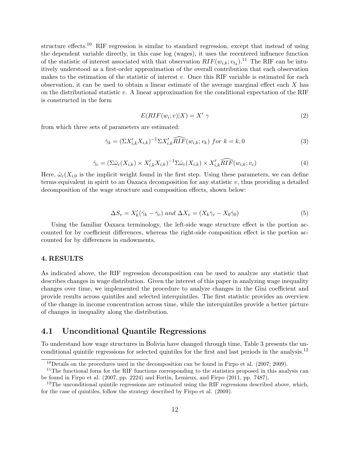structure effects.<sup>10</sup> RIF regression is similar to standard regression, except that instead of using the dependent variable directly, in this case log (wages), it uses the recentered influence function of the statistic of interest associated with that observation  $RIF(w_{i,k}; v_{t_k})$ .<sup>11</sup> The RIF can be intuitively understood as a first-order approximation of the overall contribution that each observation makes to the estimation of the statistic of interest v. Once this RIF variable is estimated for each observation, it can be used to obtain a linear estimate of the average marginal effect each  $X$  has on the distributional statistic v. A linear approximation for the conditional expectation of the RIF is constructed in the form

$$
E(RIF(w_i; v)|X) = X' \gamma \tag{2}
$$

from which three sets of parameters are estimated:

$$
\hat{\gamma}_k = (\Sigma X'_{i,k} X_{i,k})^{-1} \Sigma X'_{i,k} \widehat{RIF}(w_{i,k}; v_k) \text{ for } k = k, 0
$$
\n
$$
(3)
$$

$$
\hat{\gamma}_c = (\Sigma \hat{\omega}_c(X_{i,k}) \times X'_{i,k} X_{i,k})^{-1} \Sigma \hat{\omega}_c(X_{i,k}) \times X'_{i,k} \widehat{RIF}(w_{i,k}; v_c)
$$
\n(4)

Here,  $\hat{\omega}_c(X_{i,0})$  is the implicit weight found in the first step. Using these parameters, we can define terms equivalent in spirit to an Oaxaca decomposition for any statistic  $v$ , thus providing a detailed decomposition of the wage structure and composition effects, shown below:

$$
\Delta S_v = X'_k(\hat{\gamma}_k - \hat{\gamma}_c) \text{ and } \Delta X_v = (X_k \hat{\gamma}_c - X_0 \hat{\gamma}_0)
$$
\n<sup>(5)</sup>

Using the familiar Oaxaca terminology, the left-side wage structure effect is the portion accounted for by coefficient differences, whereas the right-side composition effect is the portion accounted for by differences in endowments.

#### 4. RESULTS

As indicated above, the RIF regression decomposition can be used to analyze any statistic that describes changes in wage distribution. Given the interest of this paper in analyzing wage inequality changes over time, we implemented the procedure to analyze changes in the Gini coefficient and provide results across quintiles and selected interquintiles. The first statistic provides an overview of the change in income concentration across time, while the interquintiles provide a better picture of changes in inequality along the distribution.

# 4.1 Unconditional Quantile Regressions

To understand how wage structures in Bolivia have changed through time, Table 3 presents the unconditional quintile regressions for selected quintiles for the first and last periods in the analysis.<sup>12</sup>

 $10$  Details on the procedures used in the decomposition can be found in Firpo et al. (2007; 2009).

 $11$ The functional form for the RIF functions corresponding to the statistics proposed in this analysis can be found in Firpo et al. (2007, pp. 2224) and Fortin, Lemieux, and Firpo (2011, pp. 7487).

<sup>&</sup>lt;sup>12</sup>The unconditional quintile regressions are estimated using the RIF regressions described above, which, for the case of quintiles, follow the strategy described by Firpo et al. (2009).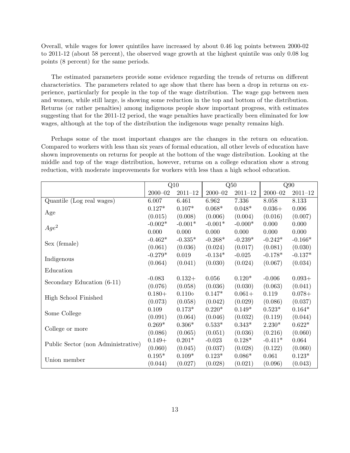Overall, while wages for lower quintiles have increased by about 0.46 log points between 2000-02 to 2011-12 (about 58 percent), the observed wage growth at the highest quintile was only 0.08 log points (8 percent) for the same periods.

The estimated parameters provide some evidence regarding the trends of returns on different characteristics. The parameters related to age show that there has been a drop in returns on experience, particularly for people in the top of the wage distribution. The wage gap between men and women, while still large, is showing some reduction in the top and bottom of the distribution. Returns (or rather penalties) among indigenous people show important progress, with estimates suggesting that for the 2011-12 period, the wage penalties have practically been eliminated for low wages, although at the top of the distribution the indigenous wage penalty remains high.

Perhaps some of the most important changes are the changes in the return on education. Compared to workers with less than six years of formal education, all other levels of education have shown improvements on returns for people at the bottom of the wage distribution. Looking at the middle and top of the wage distribution, however, returns on a college education show a strong reduction, with moderate improvements for workers with less than a high school education.

|                                    |             | Q10             | Q50         |             | Q90         |             |
|------------------------------------|-------------|-----------------|-------------|-------------|-------------|-------------|
|                                    | $2000 - 02$ | $2011 - 12$     | $2000 - 02$ | $2011 - 12$ | $2000 - 02$ | $2011 - 12$ |
| Quantile (Log real wages)          | 6.007       | 6.461           | 6.962       | 7.336       | 8.058       | 8.133       |
|                                    | $0.127*$    | $0.107*$        | $0.068*$    | $0.048*$    | $0.036+$    | 0.006       |
| Age                                | (0.015)     | (0.008)         | (0.006)     | (0.004)     | (0.016)     | (0.007)     |
|                                    | $-0.002*$   | $-0.001*$       | $-0.001*$   | $-0.000*$   | 0.000       | 0.000       |
| $Age^2$                            | 0.000       | 0.000           | 0.000       | 0.000       | 0.000       | 0.000       |
|                                    | $-0.462*$   | $-0.335*$       | $-0.268*$   | $-0.239*$   | $-0.242*$   | $-0.166*$   |
| Sex (female)                       | (0.061)     | (0.036)         | (0.024)     | (0.017)     | (0.081)     | (0.030)     |
|                                    | $-0.279*$   | 0.019           | $-0.134*$   | $-0.025$    | $-0.178*$   | $-0.137*$   |
| Indigenous                         | (0.064)     | (0.041)         | (0.030)     | (0.024)     | (0.067)     | (0.034)     |
| Education                          |             |                 |             |             |             |             |
| Secondary Education (6-11)         | $-0.083$    | $0.132+$        | 0.056       | $0.120*$    | $-0.006$    | $0.093+$    |
|                                    | (0.076)     | (0.058)         | (0.036)     | (0.030)     | (0.063)     | (0.041)     |
| High School Finished               | $0.180 +$   | $0.110\diamond$ | $0.147*$    | $0.061+$    | 0.119       | $0.078+$    |
|                                    | (0.073)     | (0.058)         | (0.042)     | (0.029)     | (0.086)     | (0.037)     |
| Some College                       | 0.109       | $0.173*$        | $0.220*$    | $0.149*$    | $0.523*$    | $0.164*$    |
|                                    | (0.091)     | (0.064)         | (0.046)     | (0.032)     | (0.119)     | (0.044)     |
| College or more                    | $0.269*$    | $0.306*$        | $0.533*$    | $0.343*$    | $2.230*$    | $0.622*$    |
|                                    | (0.086)     | (0.065)         | (0.051)     | (0.036)     | (0.216)     | (0.060)     |
| Public Sector (non Administrative) | $0.149+$    | $0.201*$        | $-0.023$    | $0.128*$    | $-0.411*$   | 0.064       |
|                                    | (0.060)     | (0.045)         | (0.037)     | (0.028)     | (0.122)     | (0.060)     |
| Union member                       | $0.195*$    | $0.109*$        | $0.123*$    | $0.086*$    | 0.061       | $0.123*$    |
|                                    | (0.044)     | (0.027)         | (0.028)     | (0.021)     | (0.096)     | (0.043)     |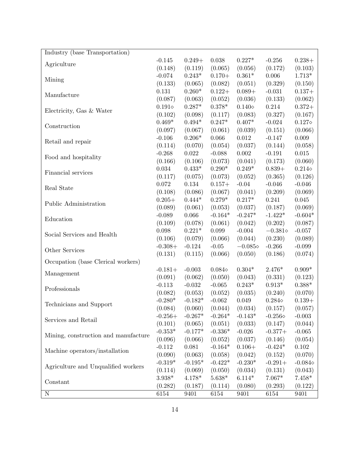| Industry (base Transportation)       |                   |             |                 |                  |                  |                  |
|--------------------------------------|-------------------|-------------|-----------------|------------------|------------------|------------------|
|                                      | $-0.145$          | $0.249+$    | $0.038\,$       | $0.227*$         | $-0.256$         | $0.238+$         |
| Agriculture                          | (0.148)           | (0.119)     | (0.065)         | (0.056)          | (0.172)          | (0.103)          |
|                                      | $-0.074$          | $0.243*$    | $0.170+$        | $0.361*$         | $0.006\,$        | $1.713*$         |
| Mining                               | (0.133)           | (0.065)     | (0.082)         | (0.051)          | (0.329)          | (0.150)          |
|                                      | 0.131             | $0.260*$    | $0.122+$        | $0.089 +$        | $-0.031$         | $0.137+$         |
| Manufacture                          | (0.087)           | (0.063)     | (0.052)         | (0.036)          | (0.133)          | (0.062)          |
|                                      | $0.191\diamond$   | $0.287*$    | $0.378*$        | $0.140\diamond$  | 0.214            | $0.372+$         |
| Electricity, Gas & Water             | (0.102)           | (0.098)     | (0.117)         | (0.083)          | (0.327)          | (0.167)          |
|                                      | $0.469*$          | $0.494*$    | $0.247*$        | $0.407*$         | $-0.024$         | $0.127\diamond$  |
| Construction                         | (0.097)           | (0.067)     | (0.061)         | (0.039)          | (0.151)          | (0.066)          |
|                                      | $-0.106$          | $0.206*$    | 0.066           | $0.012\,$        | $-0.147$         | 0.009            |
| Retail and repair                    | (0.114)           | (0.070)     | (0.054)         | (0.037)          | (0.144)          | (0.058)          |
|                                      | $-0.268$          | $\,0.022\,$ | $-0.088$        | $0.002\,$        | $-0.191$         | $0.015\,$        |
| Food and hospitality                 | (0.166)           | (0.106)     | (0.073)         | (0.041)          | (0.173)          | (0.060)          |
|                                      | 0.034             | $0.433*$    | $0.290*$        | $0.249*$         | $0.839+$         | $0.214\diamond$  |
| Financial services                   | (0.117)           | (0.075)     | (0.073)         | (0.052)          | (0.365)          | (0.126)          |
|                                      | 0.072             | 0.134       | $0.157+$        | $-0.04$          | $-0.046$         | $-0.046$         |
| Real State                           | (0.108)           | (0.086)     | (0.067)         | (0.041)          | (0.209)          | (0.069)          |
|                                      | $0.205+$          | $0.444*$    | $0.279*$        | $0.217*$         | 0.241            | $0.045\,$        |
| Public Administration                | (0.089)           | (0.061)     | (0.053)         | (0.037)          | (0.187)          | (0.069)          |
|                                      | $-0.089$          | 0.066       | $-0.164*$       | $-0.247*$        | $-1.422*$        | $-0.604*$        |
| Education                            | (0.109)           | (0.078)     | (0.061)         | (0.042)          | (0.202)          | (0.087)          |
|                                      | 0.098             | $0.221*$    | 0.099           | $-0.004$         | $-0.381\diamond$ | $-0.057$         |
| Social Services and Health           | (0.106)           | (0.079)     | (0.066)         | (0.044)          | (0.230)          | (0.089)          |
|                                      | $-0.308+$         | $-0.124$    | $-0.05$         | $-0.085\diamond$ | $-0.266$         | $-0.099$         |
| Other Services                       | (0.131)           | (0.115)     | (0.066)         | (0.050)          | (0.186)          | (0.074)          |
| Occupation (base Clerical workers)   |                   |             |                 |                  |                  |                  |
|                                      | $-0.181+$         | $-0.003$    | $0.084\diamond$ | $0.304*$         | $2.476*$         | $0.909*$         |
| Management                           | (0.091)           | (0.062)     | (0.050)         | (0.043)          | (0.331)          | (0.123)          |
|                                      | $-0.113$          | $-0.032$    | $-0.065$        | $0.243*$         | $0.913*$         | $0.388*$         |
| Professionals                        | (0.082)           | (0.053)     | (0.052)         | (0.035)          | (0.240)          | (0.070)          |
|                                      | $-0.280*$         | $-0.182*$   | $-0.062$        | 0.049            | $0.284\diamond$  | $0.139+$         |
| Technicians and Support              | (0.084)           | (0.060)     | (0.044)         | (0.034)          | (0.157)          | (0.057)          |
|                                      | $-0.256+$         | $-0.267*$   | $-0.264*$       | $-0.143*$        | $-0.256\diamond$ | $-0.003$         |
| Services and Retail                  | (0.101)           | (0.065)     | (0.051)         | (0.033)          | (0.147)          | (0.044)          |
|                                      | $\text{-}0.353^*$ | $-0.177*$   | $-0.336*$       | $-0.026$         | $-0.377+$        | $-0.065$         |
| Mining, construction and manufacture | (0.096)           | (0.066)     | (0.052)         | (0.037)          | (0.146)          | (0.054)          |
|                                      | $-0.112$          | 0.081       | $-0.164*$       | $0.106+$         | $-0.424*$        | 0.102            |
| Machine operators/installation       | (0.090)           | (0.063)     | (0.058)         | (0.042)          | (0.152)          | (0.070)          |
|                                      | $-0.319*$         | $-0.195*$   | $-0.422*$       | $-0.230*$        | $-0.291+$        | $-0.084\diamond$ |
| Agriculture and Unqualified workers  | (0.114)           | (0.069)     | (0.050)         | (0.034)          | (0.131)          | (0.043)          |
|                                      | $3.938*$          | $4.178*$    | $5.638*$        | $6.114*$         | $7.067*$         | $7.458*$         |
| Constant                             | (0.282)           | (0.187)     | (0.114)         | (0.080)          | (0.293)          | (0.122)          |
| $\mathbf N$                          | 6154              | 9401        | 6154            | 9401             | 6154             | 9401             |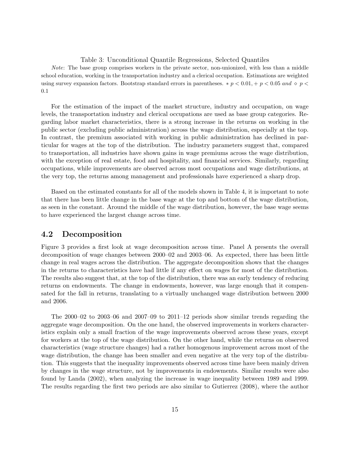#### Table 3: Unconditional Quantile Regressions, Selected Quantiles

Note: The base group comprises workers in the private sector, non-unionized, with less than a middle school education, working in the transportation industry and a clerical occupation. Estimations are weighted using survey expansion factors. Bootstrap standard errors in parentheses.  $* p < 0.01, + p < 0.05$  and  $\circ p <$ 0.1

For the estimation of the impact of the market structure, industry and occupation, on wage levels, the transportation industry and clerical occupations are used as base group categories. Regarding labor market characteristics, there is a strong increase in the returns on working in the public sector (excluding public administration) across the wage distribution, especially at the top. In contrast, the premium associated with working in public administration has declined in particular for wages at the top of the distribution. The industry parameters suggest that, compared to transportation, all industries have shown gains in wage premiums across the wage distribution, with the exception of real estate, food and hospitality, and financial services. Similarly, regarding occupations, while improvements are observed across most occupations and wage distributions, at the very top, the returns among management and professionals have experienced a sharp drop.

Based on the estimated constants for all of the models shown in Table 4, it is important to note that there has been little change in the base wage at the top and bottom of the wage distribution, as seen in the constant. Around the middle of the wage distribution, however, the base wage seems to have experienced the largest change across time.

# 4.2 Decomposition

Figure 3 provides a first look at wage decomposition across time. Panel A presents the overall decomposition of wage changes between 2000–02 and 2003–06. As expected, there has been little change in real wages across the distribution. The aggregate decomposition shows that the changes in the returns to characteristics have had little if any effect on wages for most of the distribution. The results also suggest that, at the top of the distribution, there was an early tendency of reducing returns on endowments. The change in endowments, however, was large enough that it compensated for the fall in returns, translating to a virtually unchanged wage distribution between 2000 and 2006.

The 2000–02 to 2003–06 and 2007–09 to 2011–12 periods show similar trends regarding the aggregate wage decomposition. On the one hand, the observed improvements in workers characteristics explain only a small fraction of the wage improvements observed across these years, except for workers at the top of the wage distribution. On the other hand, while the returns on observed characteristics (wage structure changes) had a rather homogenous improvement across most of the wage distribution, the change has been smaller and even negative at the very top of the distribution. This suggests that the inequality improvements observed across time have been mainly driven by changes in the wage structure, not by improvements in endowments. Similar results were also found by Landa (2002), when analyzing the increase in wage inequality between 1989 and 1999. The results regarding the first two periods are also similar to Gutierrez (2008), where the author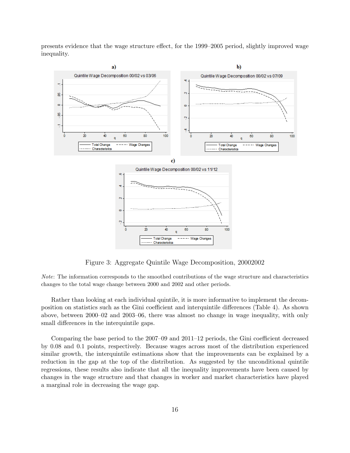presents evidence that the wage structure effect, for the 1999–2005 period, slightly improved wage inequality.



Figure 3: Aggregate Quintile Wage Decomposition, 20002002

Note: The information corresponds to the smoothed contributions of the wage structure and characteristics changes to the total wage change between 2000 and 2002 and other periods.

Rather than looking at each individual quintile, it is more informative to implement the decomposition on statistics such as the Gini coefficient and interquintile differences (Table 4). As shown above, between 2000–02 and 2003–06, there was almost no change in wage inequality, with only small differences in the interquintile gaps.

Comparing the base period to the 2007–09 and 2011–12 periods, the Gini coefficient decreased by 0.08 and 0.1 points, respectively. Because wages across most of the distribution experienced similar growth, the interquintile estimations show that the improvements can be explained by a reduction in the gap at the top of the distribution. As suggested by the unconditional quintile regressions, these results also indicate that all the inequality improvements have been caused by changes in the wage structure and that changes in worker and market characteristics have played a marginal role in decreasing the wage gap.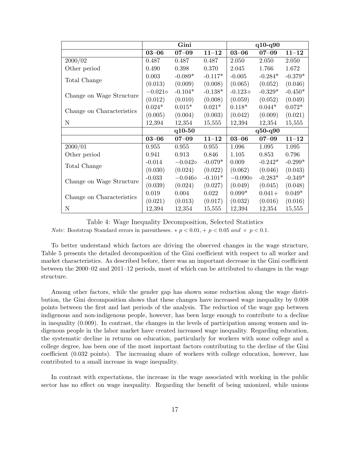|                           |                  | Gini             |           | $q10-q90$        |           |           |  |
|---------------------------|------------------|------------------|-----------|------------------|-----------|-----------|--|
|                           | $03 - 06$        | $07 - 09$        | $11 - 12$ | $03 - 06$        | $07 - 09$ | $11 - 12$ |  |
| 2000/02                   | 0.487            | 0.487            | 0.487     | 2.050            | 2.050     | 2.050     |  |
| Other period              | 0.490            | 0.398            | 0.370     | 2.045            | 1.766     | 1.672     |  |
|                           | 0.003            | $-0.089*$        | $-0.117*$ | $-0.005$         | $-0.284*$ | $-0.379*$ |  |
| Total Change              | (0.013)          | (0.009)          | (0.008)   | (0.065)          | (0.052)   | (0.046)   |  |
|                           | $-0.021\diamond$ | $-0.104*$        | $-0.138*$ | $-0.123+$        | $-0.329*$ | $-0.450*$ |  |
| Change on Wage Structure  | (0.012)          | (0.010)          | (0.008)   | (0.059)          | (0.052)   | (0.049)   |  |
|                           | $0.024*$         | $0.015*$         | $0.021*$  | $0.118*$         | $0.044*$  | $0.072*$  |  |
| Change on Characteristics | (0.005)          | (0.004)          | (0.003)   | (0.042)          | (0.009)   | (0.021)   |  |
| ${\bf N}$                 | 12,394           | 12,354           | 15,555    | 12,394           | 12,354    | 15,555    |  |
|                           | $q10-50$         |                  |           | $q50 - q90$      |           |           |  |
|                           | $03 - 06$        | $07 - 09$        | $11 - 12$ | $03 - 06$        | $07 - 09$ | $11 - 12$ |  |
| 2000/01                   | 0.955            | 0.955            | 0.955     | 1.096            | 1.095     | 1.095     |  |
| Other period              | 0.941            | 0.913            | 0.846     | 1.105            | 0.853     | 0.796     |  |
| Total Change              | $-0.014$         | $-0.042\diamond$ | $-0.079*$ | 0.009            | $-0.242*$ | $-0.299*$ |  |
|                           | (0.030)          | (0.024)          | (0.022)   | (0.062)          | (0.046)   | (0.043)   |  |
| Change on Wage Structure  | $-0.033$         | $-0.046\diamond$ | $-0.101*$ | $-0.090\diamond$ | $-0.283*$ | $-0.349*$ |  |
|                           | (0.039)          | (0.024)          | (0.027)   | (0.049)          | (0.045)   | (0.048)   |  |
|                           | 0.019            | 0.004            | 0.022     | $0.099*$         | $0.041+$  | $0.049*$  |  |
| Change on Characteristics | (0.021)          | (0.013)          | (0.017)   | (0.032)          | (0.016)   | (0.016)   |  |
| $\mathbf N$               | 12,394           | 12,354           | 15,555    | 12,394           | 12,354    | 15,555    |  |

Table 4: Wage Inequality Decomposition, Selected Statistics *Note:* Bootstrap Standard errors in parentheses.  $\ast p < 0.01, +p < 0.05$  and  $\circ p < 0.1$ .

To better understand which factors are driving the observed changes in the wage structure, Table 5 presents the detailed decomposition of the Gini coefficient with respect to all worker and market characteristics. As described before, there was an important decrease in the Gini coefficient between the 2000–02 and 2011–12 periods, most of which can be attributed to changes in the wage structure.

Among other factors, while the gender gap has shown some reduction along the wage distribution, the Gini decomposition shows that these changes have increased wage inequality by 0.008 points between the first and last periods of the analysis. The reduction of the wage gap between indigenous and non-indigenous people, however, has been large enough to contribute to a decline in inequality (0.009). In contrast, the changes in the levels of participation among women and indigenous people in the labor market have created increased wage inequality. Regarding education, the systematic decline in returns on education, particularly for workers with some college and a college degree, has been one of the most important factors contributing to the decline of the Gini coefficient (0.032 points). The increasing share of workers with college education, however, has contributed to a small increase in wage inequality.

In contrast with expectations, the increase in the wage associated with working in the public sector has no effect on wage inequality. Regarding the benefit of being unionized, while unions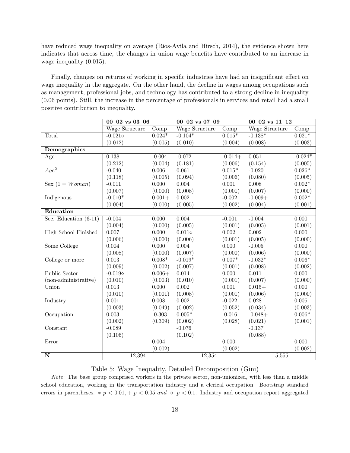have reduced wage inequality on average (Rios-Avila and Hirsch, 2014), the evidence shown here indicates that across time, the changes in union wage benefits have contributed to an increase in wage inequality  $(0.015)$ .

Finally, changes on returns of working in specific industries have had an insignificant effect on wage inequality in the aggregate. On the other hand, the decline in wages among occupations such as management, professional jobs, and technology has contributed to a strong decline in inequality (0.06 points). Still, the increase in the percentage of professionals in services and retail had a small positive contribution to inequality.

|                         | $00 - 02$ vs $03 - 06$ |           | $00 - 02$ vs $07 - 09$ |                          | $00-02$ vs $11-12$ |                   |  |
|-------------------------|------------------------|-----------|------------------------|--------------------------|--------------------|-------------------|--|
|                         | <b>Wage Structure</b>  | Comp      | Wage Structure         | $\overline{\text{Comp}}$ | Wage Structure     | Comp              |  |
| Total                   | $-0.021\diamond$       | $0.024*$  | $-0.104*$              | $0.015*$                 | $-0.138*$          | $0.021*$          |  |
|                         | (0.012)                | (0.005)   | (0.010)                | (0.004)                  | (0.008)            | (0.003)           |  |
| Demographics            |                        |           |                        |                          |                    |                   |  |
| Age                     | 0.138                  | $-0.004$  | $-0.072$               | $-0.014+$                | 0.051              | $-0.024*$         |  |
|                         | (0.212)                | (0.004)   | (0.181)                | (0.006)                  | (0.154)            | (0.005)           |  |
| $Age^2$                 | $-0.040$               | 0.006     | 0.061                  | $0.015*$                 | $-0.020$           | $0.026*$          |  |
|                         | (0.118)                | (0.005)   | (0.094)                | (0.006)                  | (0.080)            | (0.005)           |  |
| Sex $(1 = Woman)$       | $-0.011$               | 0.000     | 0.004                  | 0.001                    | 0.008              | $0.002\mathrm{*}$ |  |
|                         | (0.007)                | (0.000)   | (0.008)                | (0.001)                  | (0.007)            | (0.000)           |  |
| Indigenous              | $-0.010*$              | $0.001 +$ | 0.002                  | $-0.002$                 | $-0.009+$          | $0.002*$          |  |
|                         | (0.004)                | (0.000)   | (0.005)                | (0.002)                  | (0.004)            | (0.001)           |  |
| Education               |                        |           |                        |                          |                    |                   |  |
| Sec. Education $(6-11)$ | $-0.004$               | 0.000     | 0.004                  | $-0.001$                 | $-0.004$           | 0.000             |  |
|                         | (0.004)                | (0.000)   | (0.005)                | (0.001)                  | (0.005)            | (0.001)           |  |
| High School Finished    | 0.007                  | 0.000     | $0.011\diamond$        | 0.002                    | 0.002              | 0.000             |  |
|                         | (0.006)                | (0.000)   | (0.006)                | (0.001)                  | (0.005)            | (0.000)           |  |
| Some College            | 0.004                  | 0.000     | 0.004                  | 0.000                    | $-0.005$           | 0.000             |  |
|                         | (0.008)                | (0.000)   | (0.007)                | (0.000)                  | (0.006)            | (0.000)           |  |
| College or more         | 0.013                  | $0.008*$  | $-0.019*$              | $0.007*$                 | $-0.032*$          | $0.006*$          |  |
|                         | (0.009)                | (0.002)   | (0.007)                | (0.001)                  | (0.008)            | (0.002)           |  |
| Public Sector           | -0.019 $\diamond$      | $0.006 +$ | $0.014\,$              | 0.000                    | 0.011              | 0.000             |  |
| (non-administrative)    | (0.010)                | (0.003)   | (0.010)                | (0.001)                  | (0.007)            | (0.000)           |  |
| Union                   | 0.013                  | 0.000     | 0.002                  | 0.001                    | $0.015+$           | 0.000             |  |
|                         | (0.010)                | (0.001)   | (0.008)                | (0.001)                  | (0.006)            | (0.000)           |  |
| Industry                | 0.001                  | 0.008     | 0.002                  | $-0.022$                 | 0.028              | 0.005             |  |
|                         | (0.003)                | (0.049)   | (0.002)                | (0.052)                  | (0.034)            | (0.003)           |  |
| Occupation              | 0.003                  | $-0.303$  | $0.005*$               | $-0.016$                 | $-0.048+$          | $0.006*$          |  |
|                         | (0.002)                | (0.309)   | (0.002)                | (0.028)                  | (0.021)            | (0.001)           |  |
| Constant                | $-0.089$               |           | $-0.076$               |                          | $-0.137$           |                   |  |
|                         | (0.106)                |           | (0.102)                |                          | (0.088)            |                   |  |
| Error                   |                        | 0.004     |                        | 0.000                    |                    | 0.000             |  |
|                         |                        | (0.002)   |                        | (0.002)                  |                    | (0.002)           |  |
| $\overline{\mathbf{N}}$ | 12,394                 |           | 12,354                 |                          | 15,555             |                   |  |

Table 5: Wage Inequality, Detailed Decomposition (Gini)

Note: The base group comprised workers in the private sector, non-unionized, with less than a middle school education, working in the transportation industry and a clerical occupation. Bootstrap standard errors in parentheses. \*  $p < 0.01$ , +  $p < 0.05$  and  $\circ$   $p < 0.1$ . Industry and occupation report aggregated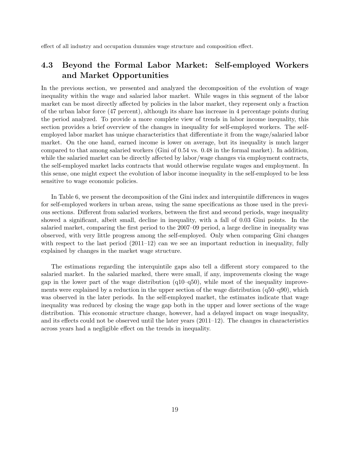effect of all industry and occupation dummies wage structure and composition effect.

# 4.3 Beyond the Formal Labor Market: Self-employed Workers and Market Opportunities

In the previous section, we presented and analyzed the decomposition of the evolution of wage inequality within the wage and salaried labor market. While wages in this segment of the labor market can be most directly affected by policies in the labor market, they represent only a fraction of the urban labor force (47 percent), although its share has increase in 4 percentage points during the period analyzed. To provide a more complete view of trends in labor income inequality, this section provides a brief overview of the changes in inequality for self-employed workers. The selfemployed labor market has unique characteristics that differentiate it from the wage/salaried labor market. On the one hand, earned income is lower on average, but its inequality is much larger compared to that among salaried workers (Gini of 0.54 vs. 0.48 in the formal market). In addition, while the salaried market can be directly affected by labor/wage changes via employment contracts, the self-employed market lacks contracts that would otherwise regulate wages and employment. In this sense, one might expect the evolution of labor income inequality in the self-employed to be less sensitive to wage economic policies.

In Table 6, we present the decomposition of the Gini index and interquintile differences in wages for self-employed workers in urban areas, using the same specifications as those used in the previous sections. Different from salaried workers, between the first and second periods, wage inequality showed a significant, albeit small, decline in inequality, with a fall of 0.03 Gini points. In the salaried market, comparing the first period to the 2007–09 period, a large decline in inequality was observed, with very little progress among the self-employed. Only when comparing Gini changes with respect to the last period  $(2011-12)$  can we see an important reduction in inequality, fully explained by changes in the market wage structure.

The estimations regarding the interquintile gaps also tell a different story compared to the salaried market. In the salaried marked, there were small, if any, improvements closing the wage gap in the lower part of the wage distribution  $(q10-q50)$ , while most of the inequality improvements were explained by a reduction in the upper section of the wage distribution (q50–q90), which was observed in the later periods. In the self-employed market, the estimates indicate that wage inequality was reduced by closing the wage gap both in the upper and lower sections of the wage distribution. This economic structure change, however, had a delayed impact on wage inequality, and its effects could not be observed until the later years (2011–12). The changes in characteristics across years had a negligible effect on the trends in inequality.